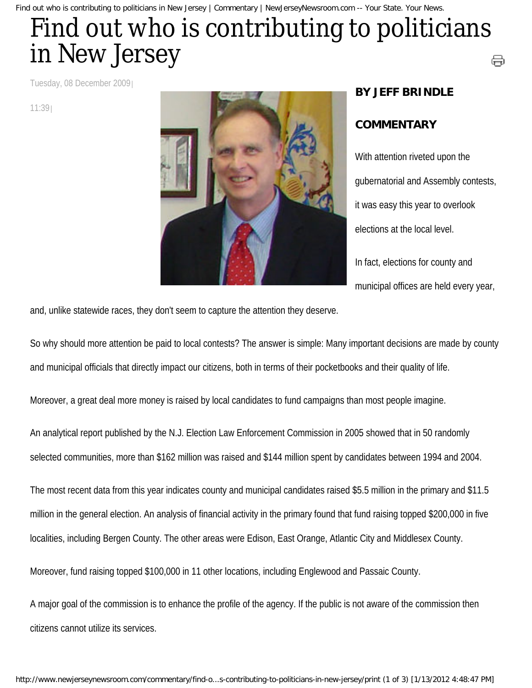Find out who is contributing to politicians in New Jersey | Commentary | NewJerseyNewsroom.com -- Your State. Your News.

## Find out who is contributing to politicians in New Jersey ⊜

Tuesday, 08 December 2009

11:39



## **BY JEFF BRINDLE**

## **COMMENTARY**

With attention riveted upon the gubernatorial and Assembly contests, it was easy this year to overlook elections at the local level. In fact, elections for county and

municipal offices are held every year,

and, unlike statewide races, they don't seem to capture the attention they deserve.

So why should more attention be paid to local contests? The answer is simple: Many important decisions are made by county and municipal officials that directly impact our citizens, both in terms of their pocketbooks and their quality of life.

Moreover, a great deal more money is raised by local candidates to fund campaigns than most people imagine.

An analytical report published by the N.J. Election Law Enforcement Commission in 2005 showed that in 50 randomly selected communities, more than \$162 million was raised and \$144 million spent by candidates between 1994 and 2004.

The most recent data from this year indicates county and municipal candidates raised \$5.5 million in the primary and \$11.5 million in the general election. An analysis of financial activity in the primary found that fund raising topped \$200,000 in five localities, including Bergen County. The other areas were Edison, East Orange, Atlantic City and Middlesex County.

Moreover, fund raising topped \$100,000 in 11 other locations, including Englewood and Passaic County.

A major goal of the commission is to enhance the profile of the agency. If the public is not aware of the commission then citizens cannot utilize its services.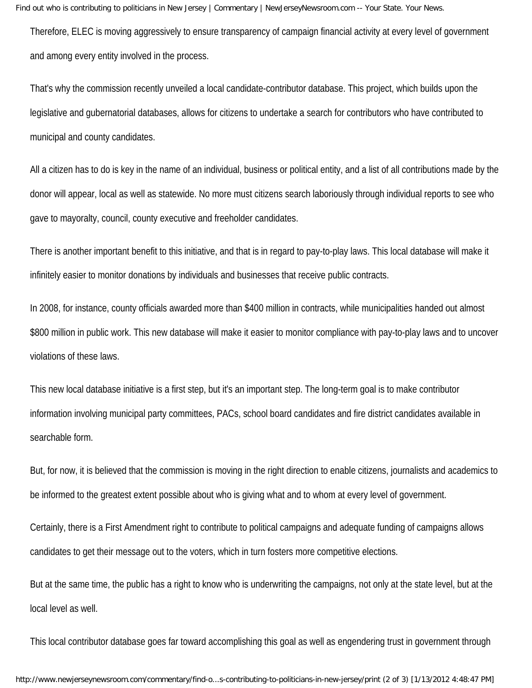Therefore, ELEC is moving aggressively to ensure transparency of campaign financial activity at every level of government and among every entity involved in the process.

That's why the commission recently unveiled a local candidate-contributor database. This project, which builds upon the legislative and gubernatorial databases, allows for citizens to undertake a search for contributors who have contributed to municipal and county candidates.

All a citizen has to do is key in the name of an individual, business or political entity, and a list of all contributions made by the donor will appear, local as well as statewide. No more must citizens search laboriously through individual reports to see who gave to mayoralty, council, county executive and freeholder candidates.

There is another important benefit to this initiative, and that is in regard to pay-to-play laws. This local database will make it infinitely easier to monitor donations by individuals and businesses that receive public contracts.

In 2008, for instance, county officials awarded more than \$400 million in contracts, while municipalities handed out almost \$800 million in public work. This new database will make it easier to monitor compliance with pay-to-play laws and to uncover violations of these laws.

This new local database initiative is a first step, but it's an important step. The long-term goal is to make contributor information involving municipal party committees, PACs, school board candidates and fire district candidates available in searchable form.

But, for now, it is believed that the commission is moving in the right direction to enable citizens, journalists and academics to be informed to the greatest extent possible about who is giving what and to whom at every level of government.

Certainly, there is a First Amendment right to contribute to political campaigns and adequate funding of campaigns allows candidates to get their message out to the voters, which in turn fosters more competitive elections.

But at the same time, the public has a right to know who is underwriting the campaigns, not only at the state level, but at the local level as well.

This local contributor database goes far toward accomplishing this goal as well as engendering trust in government through